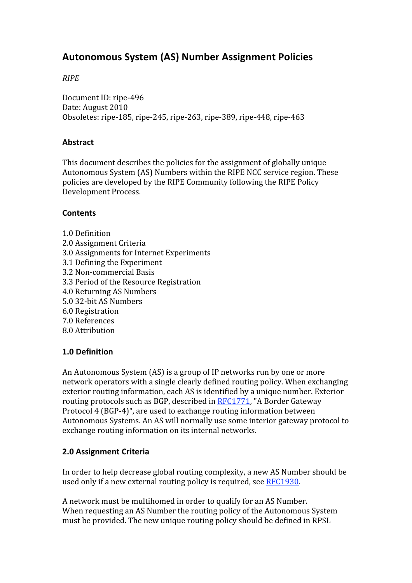# **Autonomous
System
(AS)
Number
Assignment
Policies**

# *RIPE*

Document
ID:
ripe‐496 Date:
August
2010 Obsoletes:
ripe‐185,
ripe‐245,
ripe‐263,
ripe‐389,
ripe‐448,
ripe‐463

#### **Abstract**

This
document
describes
the
policies
for
the
assignment
of
globally
unique Autonomous
System
(AS)
Numbers
within
the
RIPE
NCC
service
region.
These policies
are
developed
by
the
RIPE
Community
following
the
RIPE
Policy Development
Process.

## **Contents**

- 1.0
Definition
- 2.0
Assignment
Criteria
- 3.0
Assignments
for
Internet
Experiments
- 3.1
Defining
the
Experiment
- 3.2
Non‐commercial
Basis
- 3.3
Period
of
the
Resource
Registration
- 4.0
Returning
AS
Numbers
- 5.0
32‐bit
AS
Numbers
- 6.0
Registration
- 7.0
References
- 8.0
Attribution

#### **1.0
Definition**

An
Autonomous
System
(AS)
is
a
group
of
IP
networks
run
by
one
or
more network
operators
with
a
single
clearly
defined
routing
policy.
When
exchanging exterior routing information, each AS is identified by a unique number. Exterior routing protocols such as BGP, described in RFC1771, "A Border Gateway Protocol
4
(BGP‐4)",
are
used
to
exchange
routing
information
between Autonomous
Systems.
An
AS
will
normally
use
some
interior
gateway
protocol
to exchange
routing
information
on
its
internal
networks.

#### **2.0
Assignment
Criteria**

In
order
to
help
decrease
global
routing
complexity,
a
new
AS
Number
should
be used
only
if
a
new
external
routing
policy
is
required,
see
RFC1930.

A
network
must
be
multihomed
in
order
to
qualify
for
an
AS
Number. When requesting an AS Number the routing policy of the Autonomous System must be provided. The new unique routing policy should be defined in RPSL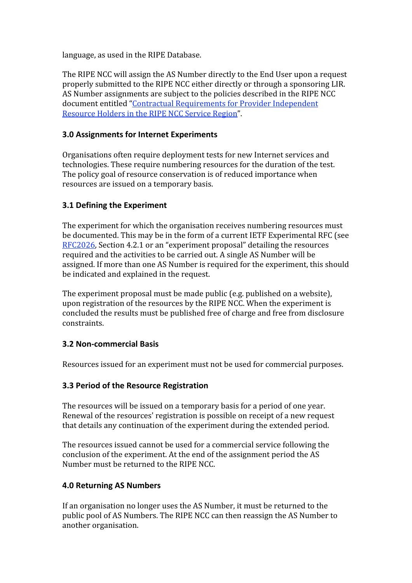language,
as
used
in
the
RIPE
Database.

The
RIPE
NCC
will
assign
the
AS
Number
directly
to
the
End
User
upon
a
request properly
submitted
to
the
RIPE
NCC
either
directly
or
through
a
sponsoring
LIR. AS Number assignments are subject to the policies described in the RIPE NCC document
entitled
"Contractual
Requirements
for
Provider
Independent Resource
Holders
in
the
RIPE
NCC
Service
Region".

# **3.0
Assignments
for
Internet
Experiments**

Organisations
often
require
deployment
tests
for
new
Internet
services
and technologies.
These
require
numbering
resources
for
the
duration
of
the
test. The
policy
goal
of
resource
conservation
is
of
reduced
importance
when resources
are
issued
on
a
temporary
basis.

# **3.1
Defining
the
Experiment**

The
experiment
for
which
the
organisation
receives
numbering
resources
must be documented. This may be in the form of a current IETF Experimental RFC (see RFC2026,
Section
4.2.1
or
an
"experiment
proposal"
detailing
the
resources required
and
the
activities
to
be
carried
out.
A
single
AS
Number
will
be assigned.
If
more
than
one
AS
Number
is
required
for
the
experiment,
this
should be
indicated
and
explained
in
the
request.

The
experiment
proposal
must
be
made
public
(e.g.
published
on
a
website), upon
registration
of
the
resources
by
the
RIPE
NCC.
When
the
experiment
is concluded
the
results
must
be
published
free
of
charge
and
free
from
disclosure constraints.

# **3.2
Non‐commercial
Basis**

Resources
issued
for
an
experiment
must
not
be
used
for
commercial
purposes.

# **3.3
Period
of
the
Resource
Registration**

The
resources
will
be
issued
on
a
temporary
basis
for
a
period
of
one
year. Renewal
of
the
resources'
registration
is
possible
on
receipt
of
a
new
request that
details
any
continuation
of
the
experiment
during
the
extended
period.

The
resources
issued
cannot
be
used
for
a
commercial
service
following
the conclusion
of
the
experiment.
At
the
end
of
the
assignment
period
the
AS Number must be returned to the RIPE NCC.

#### **4.0
Returning
AS
Numbers**

If an organisation no longer uses the AS Number, it must be returned to the public
pool
of
AS
Numbers.
The
RIPE
NCC
can
then
reassign
the
AS
Number
to another
organisation.